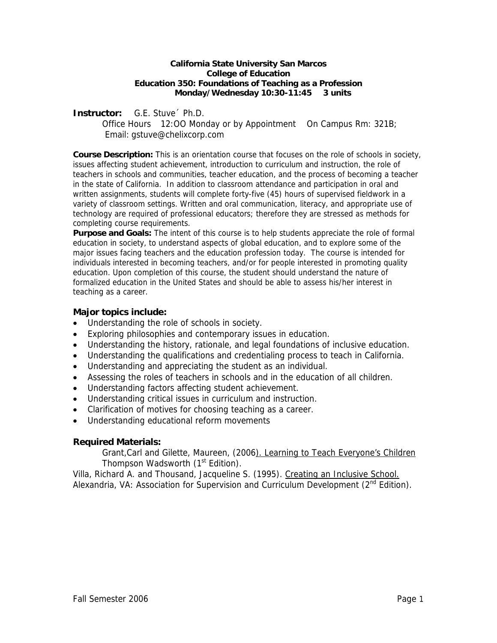#### **California State University San Marcos College of Education Education 350: Foundations of Teaching as a Profession Monday/Wednesday 10:30-11:45 3 units**

### **Instructor:** G.E. Stuve´ Ph.D.

 Office Hours 12:OO Monday or by Appointment On Campus Rm: 321B; Email: gstuve@chelixcorp.com

**Course Description:** This is an orientation course that focuses on the role of schools in society, issues affecting student achievement, introduction to curriculum and instruction, the role of teachers in schools and communities, teacher education, and the process of becoming a teacher in the state of California. In addition to classroom attendance and participation in oral and written assignments, students will complete forty-five (45) hours of supervised fieldwork in a variety of classroom settings. Written and oral communication, literacy, and appropriate use of technology are required of professional educators; therefore they are stressed as methods for completing course requirements.

**Purpose and Goals:** The intent of this course is to help students appreciate the role of formal education in society, to understand aspects of global education, and to explore some of the major issues facing teachers and the education profession today. The course is intended for individuals interested in becoming teachers, and/or for people interested in promoting quality education. Upon completion of this course, the student should understand the nature of formalized education in the United States and should be able to assess his/her interest in teaching as a career.

# **Major topics include:**

- Understanding the role of schools in society.
- Exploring philosophies and contemporary issues in education.
- Understanding the history, rationale, and legal foundations of inclusive education.
- Understanding the qualifications and credentialing process to teach in California.
- Understanding and appreciating the student as an individual.
- Assessing the roles of teachers in schools and in the education of all children.
- Understanding factors affecting student achievement.
- Understanding critical issues in curriculum and instruction.
- Clarification of motives for choosing teaching as a career.
- Understanding educational reform movements

# **Required Materials:**

Grant,Carl and Gilette, Maureen, (2006). Learning to Teach Everyone's Children Thompson Wadsworth (1<sup>st</sup> Edition).

Villa, Richard A. and Thousand, Jacqueline S. (1995). Creating an Inclusive School. Alexandria, VA: Association for Supervision and Curriculum Development  $(2^{nd}$  Edition).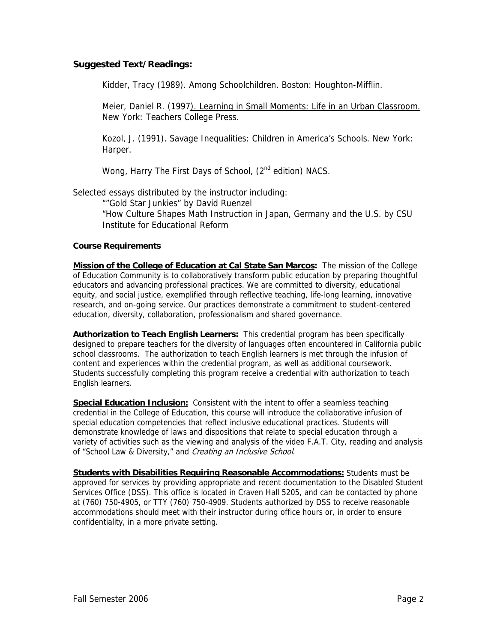## **Suggested Text/Readings:**

Kidder, Tracy (1989). Among Schoolchildren. Boston: Houghton-Mifflin.

Meier, Daniel R. (1997). Learning in Small Moments: Life in an Urban Classroom. New York: Teachers College Press.

Kozol, J. (1991). Savage Inequalities: Children in America's Schools. New York: Harper.

Wong, Harry The First Days of School, (2<sup>nd</sup> edition) NACS.

Selected essays distributed by the instructor including:

""Gold Star Junkies" by David Ruenzel

"How Culture Shapes Math Instruction in Japan, Germany and the U.S. by CSU Institute for Educational Reform

#### **Course Requirements**

**Mission of the College of Education at Cal State San Marcos:** The mission of the College of Education Community is to collaboratively transform public education by preparing thoughtful educators and advancing professional practices. We are committed to diversity, educational equity, and social justice, exemplified through reflective teaching, life-long learning, innovative research, and on-going service. Our practices demonstrate a commitment to student-centered education, diversity, collaboration, professionalism and shared governance.

**Authorization to Teach English Learners:** This credential program has been specifically designed to prepare teachers for the diversity of languages often encountered in California public school classrooms. The authorization to teach English learners is met through the infusion of content and experiences within the credential program, as well as additional coursework. Students successfully completing this program receive a credential with authorization to teach English learners.

**Special Education Inclusion:** Consistent with the intent to offer a seamless teaching credential in the College of Education, this course will introduce the collaborative infusion of special education competencies that reflect inclusive educational practices. Students will demonstrate knowledge of laws and dispositions that relate to special education through a variety of activities such as the viewing and analysis of the video F.A.T. City, reading and analysis of "School Law & Diversity," and Creating an Inclusive School.

**Students with Disabilities Requiring Reasonable Accommodations:** Students must be approved for services by providing appropriate and recent documentation to the Disabled Student Services Office (DSS). This office is located in Craven Hall 5205, and can be contacted by phone at (760) 750-4905, or TTY (760) 750-4909. Students authorized by DSS to receive reasonable accommodations should meet with their instructor during office hours or, in order to ensure confidentiality, in a more private setting.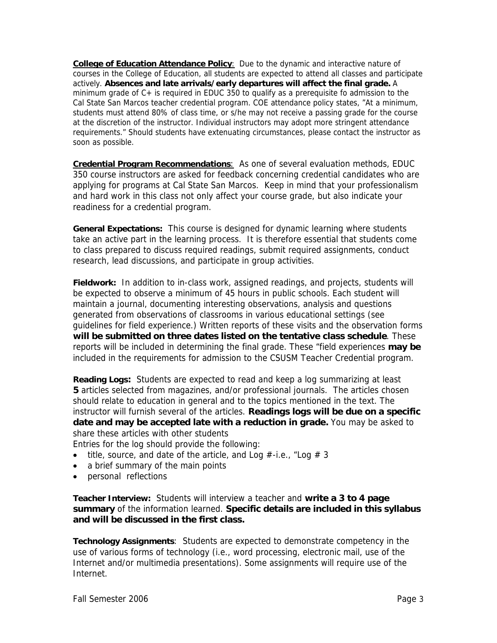**College of Education Attendance Policy**:Due to the dynamic and interactive nature of courses in the College of Education, all students are expected to attend all classes and participate actively. **Absences and late arrivals/early departures will affect the final grade.** A minimum grade of C+ is required in EDUC 350 to qualify as a prerequisite fo admission to the Cal State San Marcos teacher credential program. COE attendance policy states, "At a minimum, students must attend 80% of class time, or s/he may not receive a passing grade for the course at the discretion of the instructor. Individual instructors may adopt more stringent attendance requirements." Should students have extenuating circumstances, please contact the instructor as soon as possible.

**Credential Program Recommendations**: As one of several evaluation methods, EDUC 350 course instructors are asked for feedback concerning credential candidates who are applying for programs at Cal State San Marcos. Keep in mind that your professionalism and hard work in this class not only affect your course grade, but also indicate your readiness for a credential program.

**General Expectations:** This course is designed for dynamic learning where students take an active part in the learning process. It is therefore essential that students come to class prepared to discuss required readings, submit required assignments, conduct research, lead discussions, and participate in group activities.

**Fieldwork:** In addition to in-class work, assigned readings, and projects, students will be expected to observe a minimum of 45 hours in public schools. Each student will maintain a journal, documenting interesting observations, analysis and questions generated from observations of classrooms in various educational settings (see guidelines for field experience.) Written reports of these visits and the observation forms **will be submitted on three dates listed on the tentative class schedule**. These reports will be included in determining the final grade. These "field experiences **may be** included in the requirements for admission to the CSUSM Teacher Credential program.

**Reading Logs:** Students are expected to read and keep a log summarizing at least **5** articles selected from magazines, and/or professional journals. The articles chosen should relate to education in general and to the topics mentioned in the text. The instructor will furnish several of the articles. **Readings logs will be due on a specific date and may be accepted late with a reduction in grade.** You may be asked to share these articles with other students

Entries for the log should provide the following:

- title, source, and date of the article, and Log  $\#$ -i.e., "Log  $\#$  3
- a brief summary of the main points
- personal reflections

**Teacher Interview:** Students will interview a teacher and **write a 3 to 4 page summary** of the information learned. **Specific details are included in this syllabus and will be discussed in the first class.** 

**Technology Assignments**: Students are expected to demonstrate competency in the use of various forms of technology (i.e., word processing, electronic mail, use of the Internet and/or multimedia presentations). Some assignments will require use of the Internet.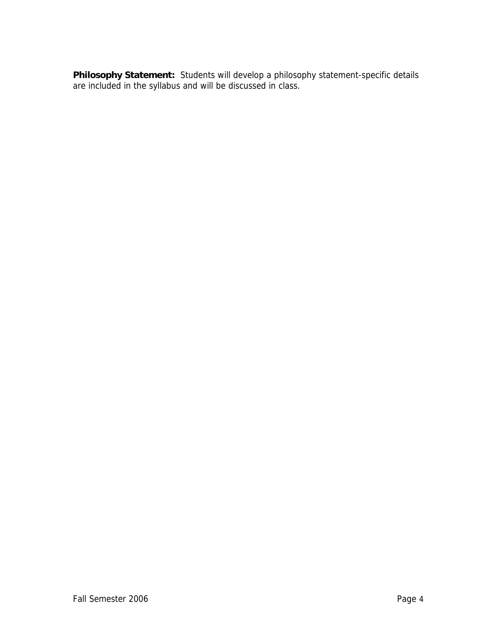**Philosophy Statement:** Students will develop a philosophy statement-specific details are included in the syllabus and will be discussed in class.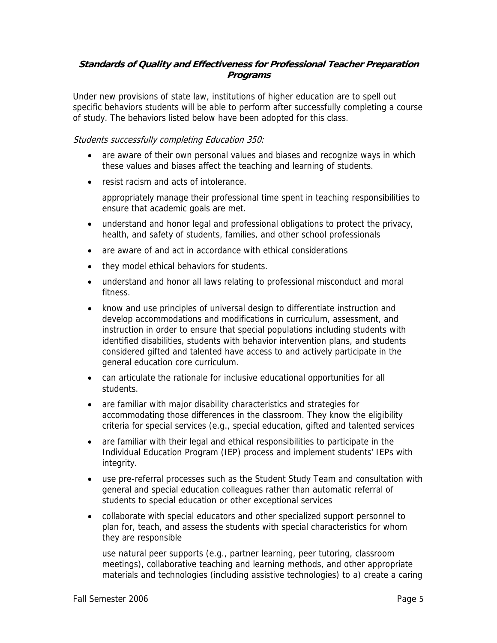# **Standards of Quality and Effectiveness for Professional Teacher Preparation Programs**

Under new provisions of state law, institutions of higher education are to spell out specific behaviors students will be able to perform after successfully completing a course of study. The behaviors listed below have been adopted for this class.

## Students successfully completing Education 350:

- are aware of their own personal values and biases and recognize ways in which these values and biases affect the teaching and learning of students.
- resist racism and acts of intolerance.

appropriately manage their professional time spent in teaching responsibilities to ensure that academic goals are met.

- understand and honor legal and professional obligations to protect the privacy, health, and safety of students, families, and other school professionals
- are aware of and act in accordance with ethical considerations
- they model ethical behaviors for students.
- understand and honor all laws relating to professional misconduct and moral fitness.
- know and use principles of universal design to differentiate instruction and develop accommodations and modifications in curriculum, assessment, and instruction in order to ensure that special populations including students with identified disabilities, students with behavior intervention plans, and students considered gifted and talented have access to and actively participate in the general education core curriculum.
- can articulate the rationale for inclusive educational opportunities for all students.
- are familiar with major disability characteristics and strategies for accommodating those differences in the classroom. They know the eligibility criteria for special services (e.g., special education, gifted and talented services
- are familiar with their legal and ethical responsibilities to participate in the Individual Education Program (IEP) process and implement students' IEPs with integrity.
- use pre-referral processes such as the Student Study Team and consultation with general and special education colleagues rather than automatic referral of students to special education or other exceptional services
- collaborate with special educators and other specialized support personnel to plan for, teach, and assess the students with special characteristics for whom they are responsible

use natural peer supports (e.g., partner learning, peer tutoring, classroom meetings), collaborative teaching and learning methods, and other appropriate materials and technologies (including assistive technologies) to a) create a caring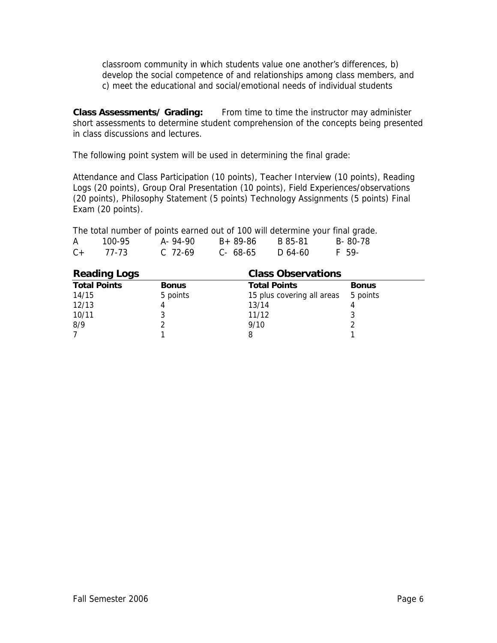classroom community in which students value one another's differences, b) develop the social competence of and relationships among class members, and c) meet the educational and social/emotional needs of individual students

**Class Assessments/ Grading:** From time to time the instructor may administer short assessments to determine student comprehension of the concepts being presented in class discussions and lectures.

The following point system will be used in determining the final grade:

Attendance and Class Participation (10 points), Teacher Interview (10 points), Reading Logs (20 points), Group Oral Presentation (10 points), Field Experiences/observations (20 points), Philosophy Statement (5 points) Technology Assignments (5 points) Final Exam (20 points).

|              |        | The total number of points earned out of 100 will determine your final grade. |          |         |         |
|--------------|--------|-------------------------------------------------------------------------------|----------|---------|---------|
| $\mathsf{A}$ | 100-95 | A-94-90                                                                       | B+ 89-86 | B 85-81 | B-80-78 |
| $C+$         | 77-73  | $C.72-69$                                                                     | C- 68-65 | D 64-60 | F 59-   |

| <b>Reading Logs</b> |              | <b>Class Observations</b>  |              |
|---------------------|--------------|----------------------------|--------------|
| <b>Total Points</b> | <b>Bonus</b> | <b>Total Points</b>        | <b>Bonus</b> |
| 14/15               | 5 points     | 15 plus covering all areas | 5 points     |
| 12/13               |              | 13/14                      |              |
| 10/11               |              | 11/12                      |              |
| 8/9                 |              | 9/10                       |              |
|                     |              |                            |              |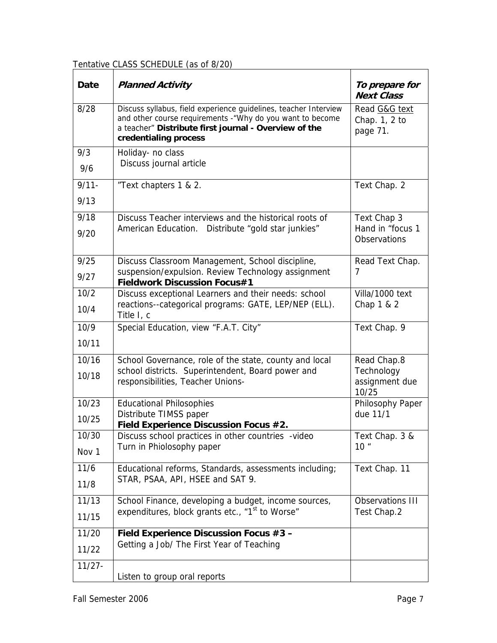Tentative CLASS SCHEDULE (as of 8/20)

| Date      | <b>Planned Activity</b>                                                                                                                                                                                          | To prepare for<br><b>Next Class</b>        |
|-----------|------------------------------------------------------------------------------------------------------------------------------------------------------------------------------------------------------------------|--------------------------------------------|
| 8/28      | Discuss syllabus, field experience guidelines, teacher Interview<br>and other course requirements - "Why do you want to become<br>a teacher" Distribute first journal - Overview of the<br>credentialing process | Read G&G text<br>Chap. 1, 2 to<br>page 71. |
| 9/3       | Holiday- no class                                                                                                                                                                                                |                                            |
| 9/6       | Discuss journal article                                                                                                                                                                                          |                                            |
| $9/11 -$  | "Text chapters 1 & 2.                                                                                                                                                                                            | Text Chap. 2                               |
| 9/13      |                                                                                                                                                                                                                  |                                            |
| 9/18      | Discuss Teacher interviews and the historical roots of                                                                                                                                                           | Text Chap 3                                |
| 9/20      | American Education. Distribute "gold star junkies"                                                                                                                                                               | Hand in "focus 1<br>Observations           |
| 9/25      | Discuss Classroom Management, School discipline,                                                                                                                                                                 | Read Text Chap.                            |
| 9/27      | suspension/expulsion. Review Technology assignment<br><b>Fieldwork Discussion Focus#1</b>                                                                                                                        | 7                                          |
| 10/2      | Discuss exceptional Learners and their needs: school                                                                                                                                                             | Villa/1000 text                            |
| 10/4      | reactions--categorical programs: GATE, LEP/NEP (ELL).<br>Title I, c                                                                                                                                              | Chap 1 & 2                                 |
| 10/9      | Special Education, view "F.A.T. City"                                                                                                                                                                            | Text Chap. 9                               |
| 10/11     |                                                                                                                                                                                                                  |                                            |
| 10/16     | School Governance, role of the state, county and local                                                                                                                                                           | Read Chap.8                                |
| 10/18     | school districts. Superintendent, Board power and<br>responsibilities, Teacher Unions-                                                                                                                           | Technology<br>assignment due<br>10/25      |
| 10/23     | <b>Educational Philosophies</b>                                                                                                                                                                                  | Philosophy Paper                           |
| 10/25     | Distribute TIMSS paper                                                                                                                                                                                           | due 11/1                                   |
| 10/30     | Field Experience Discussion Focus #2.<br>Discuss school practices in other countries -video                                                                                                                      | Text Chap. 3 &                             |
| Nov 1     | Turn in Phiolosophy paper                                                                                                                                                                                        | 10 <sup>''</sup>                           |
| 11/6      | Educational reforms, Standards, assessments including;                                                                                                                                                           | Text Chap. 11                              |
| 11/8      | STAR, PSAA, API, HSEE and SAT 9.                                                                                                                                                                                 |                                            |
| 11/13     | School Finance, developing a budget, income sources,                                                                                                                                                             | Observations III                           |
| 11/15     | expenditures, block grants etc., "1 <sup>st</sup> to Worse"                                                                                                                                                      | Test Chap.2                                |
| 11/20     | Field Experience Discussion Focus #3 -                                                                                                                                                                           |                                            |
| 11/22     | Getting a Job/ The First Year of Teaching                                                                                                                                                                        |                                            |
| $11/27 -$ | Listen to group oral reports                                                                                                                                                                                     |                                            |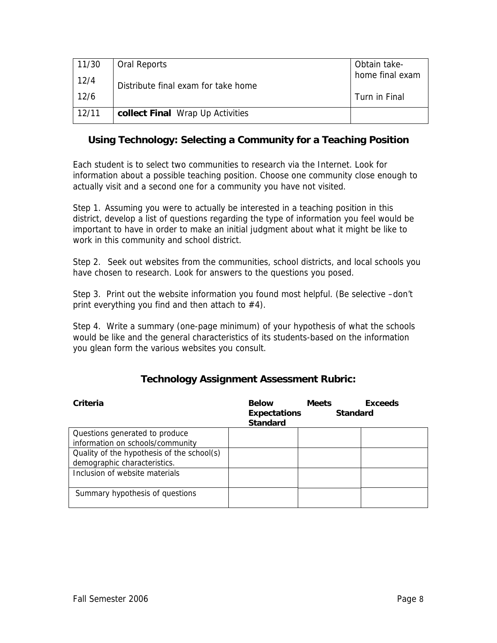| 11/30 | <b>Oral Reports</b>                 | Obtain take-    |
|-------|-------------------------------------|-----------------|
| 12/4  | Distribute final exam for take home | home final exam |
| 12/6  |                                     | Turn in Final   |
| 12/11 | collect Final Wrap Up Activities    |                 |

# **Using Technology: Selecting a Community for a Teaching Position**

Each student is to select two communities to research via the Internet. Look for information about a possible teaching position. Choose one community close enough to actually visit and a second one for a community you have not visited.

Step 1. Assuming you were to actually be interested in a teaching position in this district, develop a list of questions regarding the type of information you feel would be important to have in order to make an initial judgment about what it might be like to work in this community and school district.

Step 2. Seek out websites from the communities, school districts, and local schools you have chosen to research. Look for answers to the questions you posed.

Step 3. Print out the website information you found most helpful. (Be selective –don't print everything you find and then attach to  $#4$ ).

Step 4. Write a summary (one-page minimum) of your hypothesis of what the schools would be like and the general characteristics of its students-based on the information you glean form the various websites you consult.

| Criteria                                                                   | <b>Below</b><br><b>Expectations</b><br><b>Standard</b> | <b>Meets</b><br><b>Standard</b> | <b>Exceeds</b> |
|----------------------------------------------------------------------------|--------------------------------------------------------|---------------------------------|----------------|
| Questions generated to produce                                             |                                                        |                                 |                |
| information on schools/community                                           |                                                        |                                 |                |
| Quality of the hypothesis of the school(s)<br>demographic characteristics. |                                                        |                                 |                |
| Inclusion of website materials                                             |                                                        |                                 |                |
| Summary hypothesis of questions                                            |                                                        |                                 |                |

# **Technology Assignment Assessment Rubric:**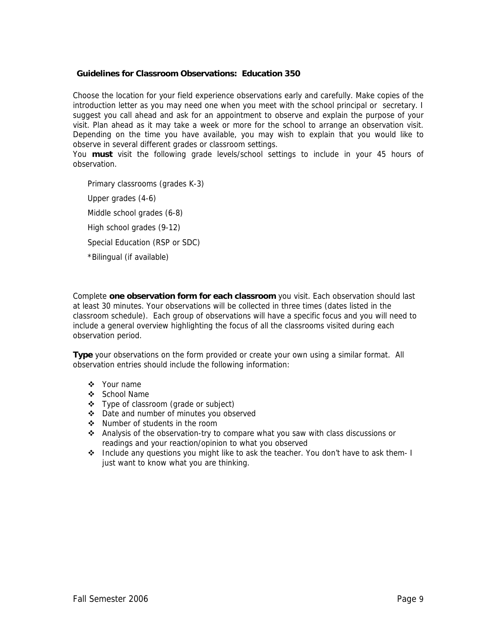#### **Guidelines for Classroom Observations: Education 350**

Choose the location for your field experience observations early and carefully. Make copies of the introduction letter as you may need one when you meet with the school principal or secretary. I suggest you call ahead and ask for an appointment to observe and explain the purpose of your visit. Plan ahead as it may take a week or more for the school to arrange an observation visit. Depending on the time you have available, you may wish to explain that you would like to observe in several different grades or classroom settings.

You **must** visit the following grade levels/school settings to include in your 45 hours of observation.

Primary classrooms (grades K-3) Upper grades (4-6) Middle school grades (6-8) High school grades (9-12) Special Education (RSP or SDC) \*Bilingual (if available)

Complete **one observation form for each classroom** you visit. Each observation should last at least 30 minutes. Your observations will be collected in three times (dates listed in the classroom schedule). Each group of observations will have a specific focus and you will need to include a general overview highlighting the focus of all the classrooms visited during each observation period.

**Type** your observations on the form provided or create your own using a similar format. All observation entries should include the following information:

- ❖ Your name
- ❖ School Name
- ❖ Type of classroom (grade or subject)
- Date and number of minutes you observed
- ❖ Number of students in the room
- \* Analysis of the observation-try to compare what you saw with class discussions or readings and your reaction/opinion to what you observed
- $\div$  Include any questions you might like to ask the teacher. You don't have to ask them- I just want to know what you are thinking.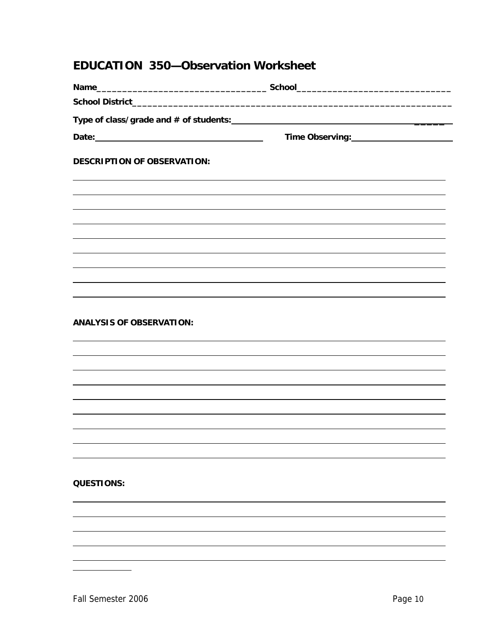# **EDUCATION 350—Observation Worksheet**

|                                    | Time Observing: ________________________ |
|------------------------------------|------------------------------------------|
| <b>DESCRIPTION OF OBSERVATION:</b> |                                          |
|                                    |                                          |
|                                    |                                          |
|                                    |                                          |
|                                    |                                          |
|                                    |                                          |
|                                    |                                          |
| <b>ANALYSIS OF OBSERVATION:</b>    |                                          |
|                                    |                                          |
|                                    |                                          |
|                                    |                                          |
|                                    |                                          |
|                                    |                                          |
|                                    |                                          |
| <b>QUESTIONS:</b>                  |                                          |
|                                    |                                          |
|                                    |                                          |
|                                    |                                          |

 $\overline{a}$  $\overline{a}$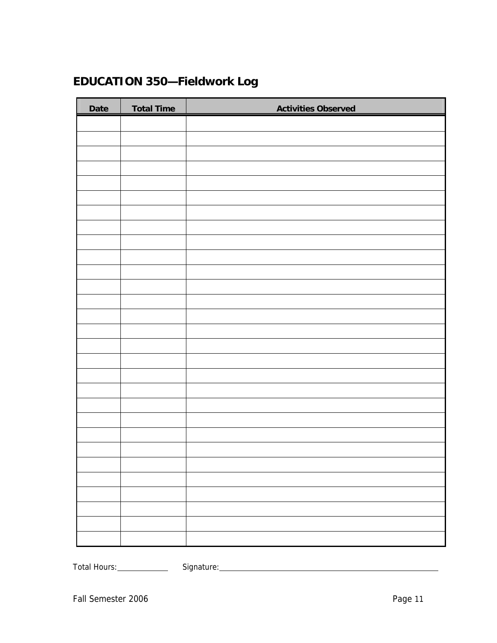# **EDUCATION 350—Fieldwork Log**

| Date | <b>Total Time</b> | <b>Activities Observed</b> |
|------|-------------------|----------------------------|
|      |                   |                            |
|      |                   |                            |
|      |                   |                            |
|      |                   |                            |
|      |                   |                            |
|      |                   |                            |
|      |                   |                            |
|      |                   |                            |
|      |                   |                            |
|      |                   |                            |
|      |                   |                            |
|      |                   |                            |
|      |                   |                            |
|      |                   |                            |
|      |                   |                            |
|      |                   |                            |
|      |                   |                            |
|      |                   |                            |
|      |                   |                            |
|      |                   |                            |
|      |                   |                            |
|      |                   |                            |
|      |                   |                            |
|      |                   |                            |
|      |                   |                            |
|      |                   |                            |
|      |                   |                            |
|      |                   |                            |
|      |                   |                            |

Total Hours: Signature: Signature: Signature: Signature: Signature: Signature: Signature: Signature: Signature: Signature: Signature: Signature: Signature: Signature: Signature: Signature: Signature: Signature: Signature: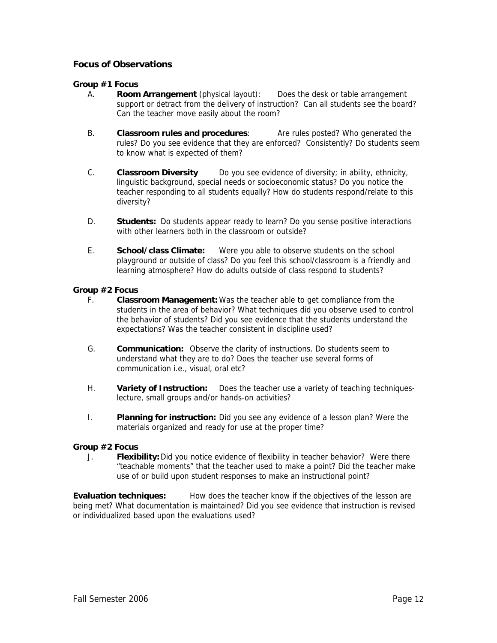## **Focus of Observations**

#### **Group #1 Focus**

- A. **Room Arrangement** (physical layout): Does the desk or table arrangement support or detract from the delivery of instruction? Can all students see the board? Can the teacher move easily about the room?
- B. **Classroom rules and procedures**: Are rules posted? Who generated the rules? Do you see evidence that they are enforced? Consistently? Do students seem to know what is expected of them?
- C. **Classroom Diversity** Do you see evidence of diversity; in ability, ethnicity, linguistic background, special needs or socioeconomic status? Do you notice the teacher responding to all students equally? How do students respond/relate to this diversity?
- D. **Students:** Do students appear ready to learn? Do you sense positive interactions with other learners both in the classroom or outside?
- E. **School/class Climate:** Were you able to observe students on the school playground or outside of class? Do you feel this school/classroom is a friendly and learning atmosphere? How do adults outside of class respond to students?

#### **Group #2 Focus**

- F. **Classroom Management:** Was the teacher able to get compliance from the students in the area of behavior? What techniques did you observe used to control the behavior of students? Did you see evidence that the students understand the expectations? Was the teacher consistent in discipline used?
- G. **Communication:** Observe the clarity of instructions. Do students seem to understand what they are to do? Does the teacher use several forms of communication i.e., visual, oral etc?
- H. **Variety of Instruction:** Does the teacher use a variety of teaching techniqueslecture, small groups and/or hands-on activities?
- I. **Planning for instruction:** Did you see any evidence of a lesson plan? Were the materials organized and ready for use at the proper time?

#### **Group #2 Focus**

J. **Flexibility:** Did you notice evidence of flexibility in teacher behavior? Were there "teachable moments" that the teacher used to make a point? Did the teacher make use of or build upon student responses to make an instructional point?

**Evaluation techniques:** How does the teacher know if the objectives of the lesson are being met? What documentation is maintained? Did you see evidence that instruction is revised or individualized based upon the evaluations used?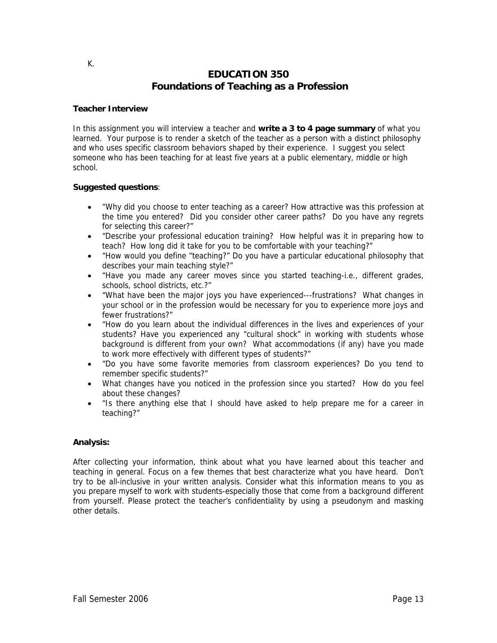# **EDUCATION 350 Foundations of Teaching as a Profession**

#### **Teacher Interview**

In this assignment you will interview a teacher and **write a 3 to 4 page summary** of what you learned. Your purpose is to render a sketch of the teacher as a person with a distinct philosophy and who uses specific classroom behaviors shaped by their experience. I suggest you select someone who has been teaching for at least five years at a public elementary, middle or high school.

#### **Suggested questions**:

- "Why did you choose to enter teaching as a career? How attractive was this profession at the time you entered? Did you consider other career paths? Do you have any regrets for selecting this career?"
- "Describe your professional education training? How helpful was it in preparing how to teach? How long did it take for you to be comfortable with your teaching?"
- "How would you define "teaching?" Do you have a particular educational philosophy that describes your main teaching style?"
- "Have you made any career moves since you started teaching-i.e., different grades, schools, school districts, etc.?"
- "What have been the major joys you have experienced---frustrations? What changes in your school or in the profession would be necessary for you to experience more joys and fewer frustrations?"
- "How do you learn about the individual differences in the lives and experiences of your students? Have you experienced any "cultural shock" in working with students whose background is different from your own? What accommodations (if any) have you made to work more effectively with different types of students?"
- "Do you have some favorite memories from classroom experiences? Do you tend to remember specific students?"
- What changes have you noticed in the profession since you started? How do you feel about these changes?
- "Is there anything else that I should have asked to help prepare me for a career in teaching?"

#### **Analysis:**

After collecting your information, think about what you have learned about this teacher and teaching in general. Focus on a few themes that best characterize what you have heard. Don't try to be all-inclusive in your written analysis. Consider what this information means to you as you prepare myself to work with students-especially those that come from a background different from yourself. Please protect the teacher's confidentiality by using a pseudonym and masking other details.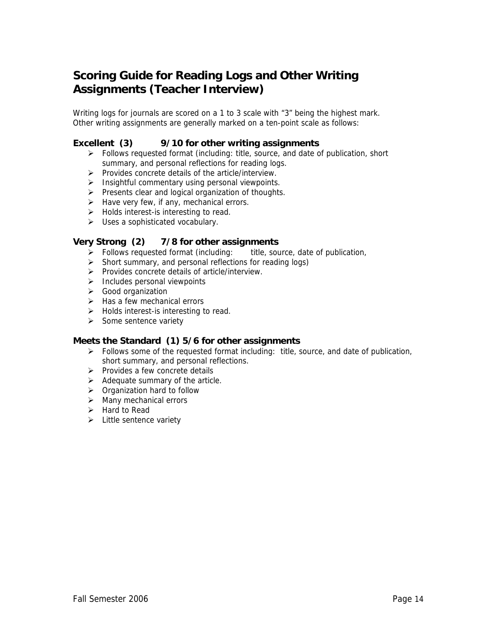# **Scoring Guide for Reading Logs and Other Writing Assignments (Teacher Interview)**

Writing logs for journals are scored on a 1 to 3 scale with "3" being the highest mark. Other writing assignments are generally marked on a ten-point scale as follows:

## **Excellent (3) 9/10 for other writing assignments**

- $\triangleright$  Follows requested format (including: title, source, and date of publication, short summary, and personal reflections for reading logs.
- ¾ Provides concrete details of the article/interview.
- $\triangleright$  Insightful commentary using personal viewpoints.
- $\triangleright$  Presents clear and logical organization of thoughts.
- $\triangleright$  Have very few, if any, mechanical errors.
- $\triangleright$  Holds interest-is interesting to read.
- $\triangleright$  Uses a sophisticated vocabulary.

#### **Very Strong (2) 7/8 for other assignments**

- $\triangleright$  Follows requested format (including: title, source, date of publication,
- $\triangleright$  Short summary, and personal reflections for reading logs)
- ¾ Provides concrete details of article/interview.
- $\triangleright$  Includes personal viewpoints
- ¾ Good organization
- $\triangleright$  Has a few mechanical errors
- $\triangleright$  Holds interest-is interesting to read.
- $\triangleright$  Some sentence variety

#### **Meets the Standard (1) 5/6 for other assignments**

- $\triangleright$  Follows some of the requested format including: title, source, and date of publication, short summary, and personal reflections.
- $\triangleright$  Provides a few concrete details
- $\triangleright$  Adequate summary of the article.
- $\triangleright$  Organization hard to follow
- $\triangleright$  Many mechanical errors
- $\triangleright$  Hard to Read
- $\triangleright$  Little sentence variety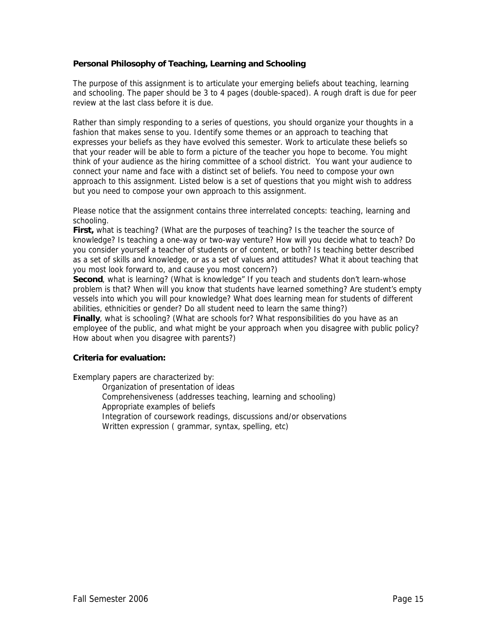#### **Personal Philosophy of Teaching, Learning and Schooling**

The purpose of this assignment is to articulate your emerging beliefs about teaching, learning and schooling. The paper should be 3 to 4 pages (double-spaced). A rough draft is due for peer review at the last class before it is due.

Rather than simply responding to a series of questions, you should organize your thoughts in a fashion that makes sense to you. Identify some themes or an approach to teaching that expresses your beliefs as they have evolved this semester. Work to articulate these beliefs so that your reader will be able to form a picture of the teacher you hope to become. You might think of your audience as the hiring committee of a school district. You want your audience to connect your name and face with a distinct set of beliefs. You need to compose your own approach to this assignment. Listed below is a set of questions that you might wish to address but you need to compose your own approach to this assignment.

Please notice that the assignment contains three interrelated concepts: teaching, learning and schooling.

**First,** what is teaching? (What are the purposes of teaching? Is the teacher the source of knowledge? Is teaching a one-way or two-way venture? How will you decide what to teach? Do you consider yourself a teacher of students or of content, or both? Is teaching better described as a set of skills and knowledge, or as a set of values and attitudes? What it about teaching that you most look forward to, and cause you most concern?)

**Second**, what is learning? (What is knowledge" If you teach and students don't learn-whose problem is that? When will you know that students have learned something? Are student's empty vessels into which you will pour knowledge? What does learning mean for students of different abilities, ethnicities or gender? Do all student need to learn the same thing?)

**Finally**, what is schooling? (What are schools for? What responsibilities do you have as an employee of the public, and what might be your approach when you disagree with public policy? How about when you disagree with parents?)

#### **Criteria for evaluation:**

Exemplary papers are characterized by:

Organization of presentation of ideas

Comprehensiveness (addresses teaching, learning and schooling)

Appropriate examples of beliefs

Integration of coursework readings, discussions and/or observations

Written expression ( grammar, syntax, spelling, etc)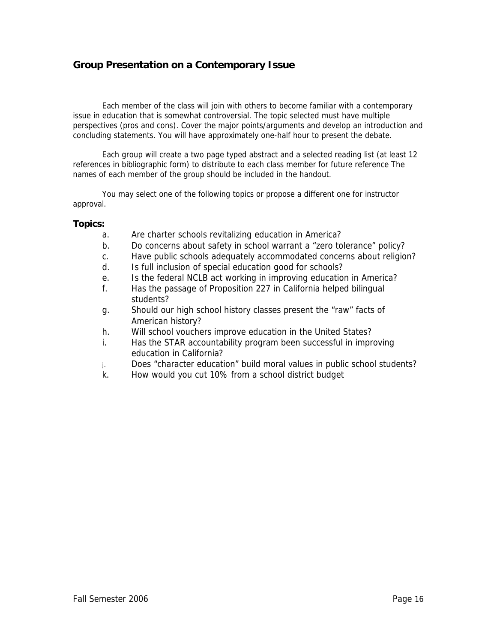# **Group Presentation on a Contemporary Issue**

Each member of the class will join with others to become familiar with a contemporary issue in education that is somewhat controversial. The topic selected must have multiple perspectives (pros and cons). Cover the major points/arguments and develop an introduction and concluding statements. You will have approximately one-half hour to present the debate.

Each group will create a two page typed abstract and a selected reading list (at least 12 references in bibliographic form) to distribute to each class member for future reference The names of each member of the group should be included in the handout.

You may select one of the following topics or propose a different one for instructor approval.

#### **Topics:**

- a. Are charter schools revitalizing education in America?
- b. Do concerns about safety in school warrant a "zero tolerance" policy?
- c. Have public schools adequately accommodated concerns about religion?
- d. Is full inclusion of special education good for schools?
- e. Is the federal NCLB act working in improving education in America?
- f. Has the passage of Proposition 227 in California helped bilingual students?
- g. Should our high school history classes present the "raw" facts of American history?
- h. Will school vouchers improve education in the United States?
- i. Has the STAR accountability program been successful in improving education in California?
- j. Does "character education" build moral values in public school students?
- k. How would you cut 10% from a school district budget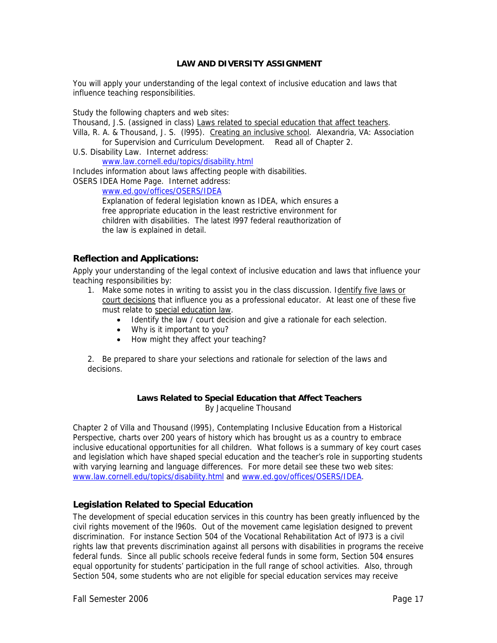#### **LAW AND DIVERSITY ASSIGNMENT**

You will apply your understanding of the legal context of inclusive education and laws that influence teaching responsibilities.

Study the following chapters and web sites:

Thousand, J.S. (assigned in class) Laws related to special education that affect teachers.

- Villa, R. A. & Thousand, J. S. (l995). Creating an inclusive school. Alexandria, VA: Association for Supervision and Curriculum Development. Read all of Chapter 2.
- U.S. Disability Law. Internet address:

www.law.cornell.edu/topics/disability.html

Includes information about laws affecting people with disabilities.

OSERS IDEA Home Page. Internet address:

www.ed.gov/offices/OSERS/IDEA

Explanation of federal legislation known as IDEA, which ensures a free appropriate education in the least restrictive environment for children with disabilities. The latest l997 federal reauthorization of the law is explained in detail.

#### **Reflection and Applications:**

Apply your understanding of the legal context of inclusive education and laws that influence your teaching responsibilities by:

- 1. Make some notes in writing to assist you in the class discussion. Identify five laws or court decisions that influence you as a professional educator. At least one of these five must relate to special education law.
	- Identify the law / court decision and give a rationale for each selection.
	- Why is it important to you?
	- How might they affect your teaching?

2. Be prepared to share your selections and rationale for selection of the laws and decisions.

#### **Laws Related to Special Education that Affect Teachers**  By Jacqueline Thousand

Chapter 2 of Villa and Thousand (l995), Contemplating Inclusive Education from a Historical Perspective, charts over 200 years of history which has brought us as a country to embrace inclusive educational opportunities for all children. What follows is a summary of key court cases and legislation which have shaped special education and the teacher's role in supporting students with varying learning and language differences. For more detail see these two web sites: www.law.cornell.edu/topics/disability.html and www.ed.gov/offices/OSERS/IDEA.

# **Legislation Related to Special Education**

The development of special education services in this country has been greatly influenced by the civil rights movement of the l960s. Out of the movement came legislation designed to prevent discrimination. For instance Section 504 of the Vocational Rehabilitation Act of l973 is a civil rights law that prevents discrimination against all persons with disabilities in programs the receive federal funds. Since all public schools receive federal funds in some form, Section 504 ensures equal opportunity for students' participation in the full range of school activities. Also, through Section 504, some students who are not eligible for special education services may receive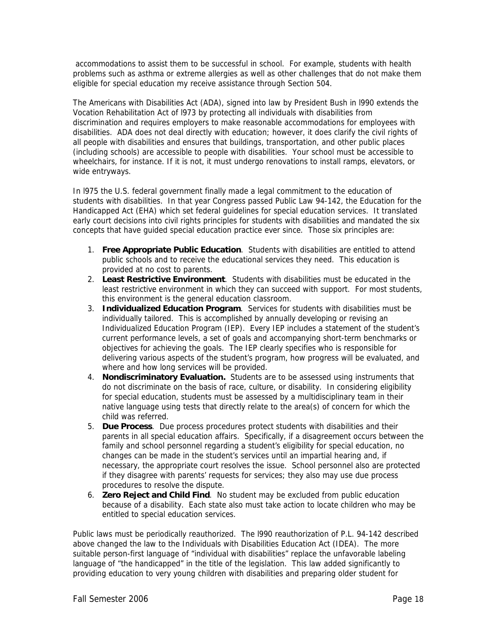accommodations to assist them to be successful in school. For example, students with health problems such as asthma or extreme allergies as well as other challenges that do not make them eligible for special education my receive assistance through Section 504.

The Americans with Disabilities Act (ADA), signed into law by President Bush in l990 extends the Vocation Rehabilitation Act of l973 by protecting all individuals with disabilities from discrimination and requires employers to make reasonable accommodations for employees with disabilities. ADA does not deal directly with education; however, it does clarify the civil rights of all people with disabilities and ensures that buildings, transportation, and other public places (including schools) are accessible to people with disabilities. Your school must be accessible to wheelchairs, for instance. If it is not, it must undergo renovations to install ramps, elevators, or wide entryways.

In l975 the U.S. federal government finally made a legal commitment to the education of students with disabilities. In that year Congress passed Public Law 94-142, the Education for the Handicapped Act (EHA) which set federal guidelines for special education services. It translated early court decisions into civil rights principles for students with disabilities and mandated the six concepts that have guided special education practice ever since. Those six principles are:

- 1. **Free Appropriate Public Education**. Students with disabilities are entitled to attend public schools and to receive the educational services they need. This education is provided at no cost to parents.
- 2. **Least Restrictive Environment**. Students with disabilities must be educated in the least restrictive environment in which they can succeed with support. For most students, this environment is the general education classroom.
- 3. **Individualized Education Program**. Services for students with disabilities must be individually tailored. This is accomplished by annually developing or revising an Individualized Education Program (IEP). Every IEP includes a statement of the student's current performance levels, a set of goals and accompanying short-term benchmarks or objectives for achieving the goals. The IEP clearly specifies who is responsible for delivering various aspects of the student's program, how progress will be evaluated, and where and how long services will be provided.
- 4. **Nondiscriminatory Evaluation.** Students are to be assessed using instruments that do not discriminate on the basis of race, culture, or disability. In considering eligibility for special education, students must be assessed by a multidisciplinary team in their native language using tests that directly relate to the area(s) of concern for which the child was referred.
- 5. **Due Process**. Due process procedures protect students with disabilities and their parents in all special education affairs. Specifically, if a disagreement occurs between the family and school personnel regarding a student's eligibility for special education, no changes can be made in the student's services until an impartial hearing and, if necessary, the appropriate court resolves the issue. School personnel also are protected if they disagree with parents' requests for services; they also may use due process procedures to resolve the dispute.
- 6. **Zero Reject and Child Find**. No student may be excluded from public education because of a disability. Each state also must take action to locate children who may be entitled to special education services.

Public laws must be periodically reauthorized. The l990 reauthorization of P.L. 94-142 described above changed the law to the Individuals with Disabilities Education Act (IDEA). The more suitable person-first language of "individual with disabilities" replace the unfavorable labeling language of "the handicapped" in the title of the legislation. This law added significantly to providing education to very young children with disabilities and preparing older student for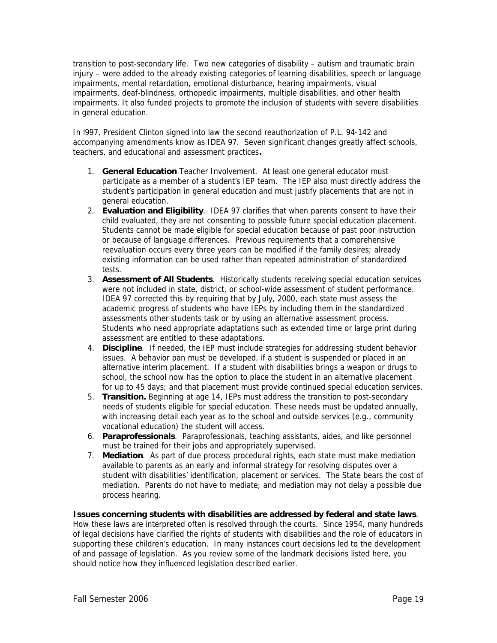transition to post-secondary life. Two new categories of disability – autism and traumatic brain injury – were added to the already existing categories of learning disabilities, speech or language impairments, mental retardation, emotional disturbance, hearing impairments, visual impairments, deaf-blindness, orthopedic impairments, multiple disabilities, and other health impairments. It also funded projects to promote the inclusion of students with severe disabilities in general education.

In l997, President Clinton signed into law the second reauthorization of P.L. 94-142 and accompanying amendments know as IDEA 97. Seven significant changes greatly affect schools, teachers, and educational and assessment practices**.** 

- 1. **General Education** Teacher Involvement. At least one general educator must participate as a member of a student's IEP team. The IEP also must directly address the student's participation in general education and must justify placements that are not in general education.
- 2. **Evaluation and Eligibility**. IDEA 97 clarifies that when parents consent to have their child evaluated, they are not consenting to possible future special education placement. Students cannot be made eligible for special education because of past poor instruction or because of language differences. Previous requirements that a comprehensive reevaluation occurs every three years can be modified if the family desires; already existing information can be used rather than repeated administration of standardized tests.
- 3. **Assessment of All Students**. Historically students receiving special education services were not included in state, district, or school-wide assessment of student performance. IDEA 97 corrected this by requiring that by July, 2000, each state must assess the academic progress of students who have IEPs by including them in the standardized assessments other students task or by using an alternative assessment process. Students who need appropriate adaptations such as extended time or large print during assessment are entitled to these adaptations.
- 4. **Discipline**. If needed, the IEP must include strategies for addressing student behavior issues. A behavior pan must be developed, if a student is suspended or placed in an alternative interim placement. If a student with disabilities brings a weapon or drugs to school, the school now has the option to place the student in an alternative placement for up to 45 days; and that placement must provide continued special education services.
- 5. **Transition.** Beginning at age 14, IEPs must address the transition to post-secondary needs of students eligible for special education. These needs must be updated annually, with increasing detail each year as to the school and outside services (e.g., community vocational education) the student will access.
- 6. **Paraprofessionals**. Paraprofessionals, teaching assistants, aides, and like personnel must be trained for their jobs and appropriately supervised.
- 7. **Mediation**. As part of due process procedural rights, each state must make mediation available to parents as an early and informal strategy for resolving disputes over a student with disabilities' identification, placement or services. The State bears the cost of mediation. Parents do not have to mediate; and mediation may not delay a possible due process hearing.

**Issues concerning students with disabilities are addressed by federal and state laws**. How these laws are interpreted often is resolved through the courts. Since 1954, many hundreds of legal decisions have clarified the rights of students with disabilities and the role of educators in supporting these children's education. In many instances court decisions led to the development of and passage of legislation. As you review some of the landmark decisions listed here, you should notice how they influenced legislation described earlier.